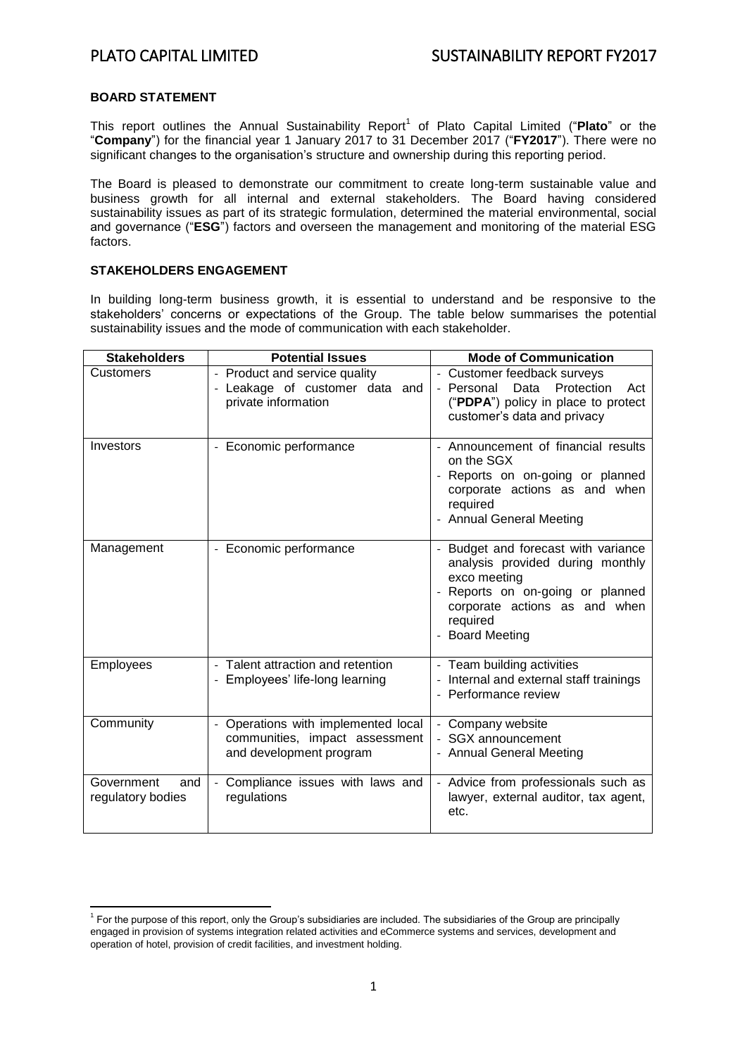#### **BOARD STATEMENT**

**.** 

This report outlines the Annual Sustainability Report<sup>1</sup> of Plato Capital Limited ("Plato" or the "**Company**") for the financial year 1 January 2017 to 31 December 2017 ("**FY2017**"). There were no significant changes to the organisation's structure and ownership during this reporting period.

The Board is pleased to demonstrate our commitment to create long-term sustainable value and business growth for all internal and external stakeholders. The Board having considered sustainability issues as part of its strategic formulation, determined the material environmental, social and governance ("**ESG**") factors and overseen the management and monitoring of the material ESG factors.

## **STAKEHOLDERS ENGAGEMENT**

In building long-term business growth, it is essential to understand and be responsive to the stakeholders' concerns or expectations of the Group. The table below summarises the potential sustainability issues and the mode of communication with each stakeholder.

| <b>Stakeholders</b>                    | <b>Potential Issues</b>                                                                          | <b>Mode of Communication</b>                                                                                                                                                                 |
|----------------------------------------|--------------------------------------------------------------------------------------------------|----------------------------------------------------------------------------------------------------------------------------------------------------------------------------------------------|
| Customers                              | - Product and service quality<br>- Leakage of customer data and<br>private information           | - Customer feedback surveys<br>Data<br>Protection<br>- Personal<br>Act<br>("PDPA") policy in place to protect<br>customer's data and privacy                                                 |
| Investors                              | - Economic performance                                                                           | - Announcement of financial results<br>on the SGX<br>- Reports on on-going or planned<br>corporate actions as and when<br>required<br>- Annual General Meeting                               |
| Management                             | - Economic performance                                                                           | Budget and forecast with variance<br>analysis provided during monthly<br>exco meeting<br>Reports on on-going or planned<br>corporate actions as and when<br>required<br><b>Board Meeting</b> |
| Employees                              | - Talent attraction and retention<br>- Employees' life-long learning                             | - Team building activities<br>Internal and external staff trainings<br>- Performance review                                                                                                  |
| Community                              | - Operations with implemented local<br>communities, impact assessment<br>and development program | - Company website<br>- SGX announcement<br>- Annual General Meeting                                                                                                                          |
| Government<br>and<br>regulatory bodies | Compliance issues with laws and<br>regulations                                                   | - Advice from professionals such as<br>lawyer, external auditor, tax agent,<br>etc.                                                                                                          |

<sup>&</sup>lt;sup>1</sup> For the purpose of this report, only the Group's subsidiaries are included. The subsidiaries of the Group are principally engaged in provision of systems integration related activities and eCommerce systems and services, development and operation of hotel, provision of credit facilities, and investment holding.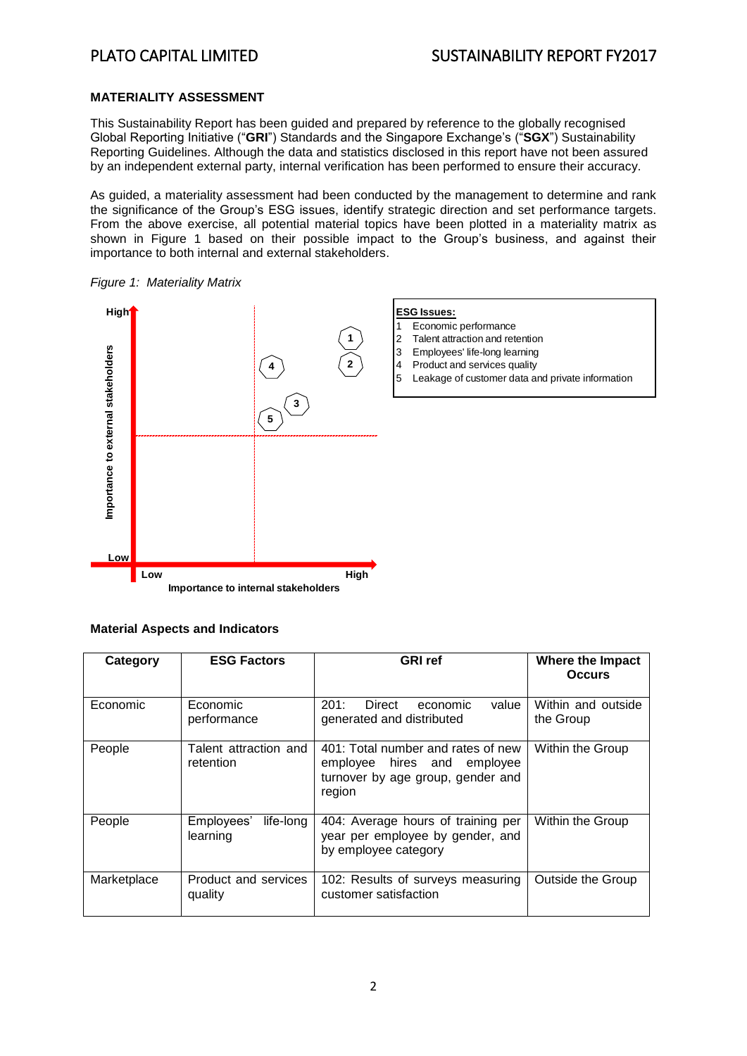## **MATERIALITY ASSESSMENT**

This Sustainability Report has been guided and prepared by reference to the globally recognised Global Reporting Initiative ("**GRI**") Standards and the Singapore Exchange's ("**SGX**") Sustainability Reporting Guidelines. Although the data and statistics disclosed in this report have not been assured by an independent external party, internal verification has been performed to ensure their accuracy.

As guided, a materiality assessment had been conducted by the management to determine and rank the significance of the Group's ESG issues, identify strategic direction and set performance targets. From the above exercise, all potential material topics have been plotted in a materiality matrix as shown in Figure 1 based on their possible impact to the Group's business, and against their importance to both internal and external stakeholders.



#### *Figure 1: Materiality Matrix*

# **Material Aspects and Indicators**

| Category    | <b>ESG Factors</b>                  | <b>GRI</b> ref                                                                                                   | Where the Impact<br><b>Occurs</b> |
|-------------|-------------------------------------|------------------------------------------------------------------------------------------------------------------|-----------------------------------|
| Economic    | Economic<br>performance             | 201:<br>Direct<br>value<br>economic<br>generated and distributed                                                 | Within and outside<br>the Group   |
| People      | Talent attraction and<br>retention  | 401: Total number and rates of new<br>employee hires and employee<br>turnover by age group, gender and<br>region | Within the Group                  |
| People      | life-long<br>Employees'<br>learning | 404: Average hours of training per<br>year per employee by gender, and<br>by employee category                   | Within the Group                  |
| Marketplace | Product and services<br>quality     | 102: Results of surveys measuring<br>customer satisfaction                                                       | Outside the Group                 |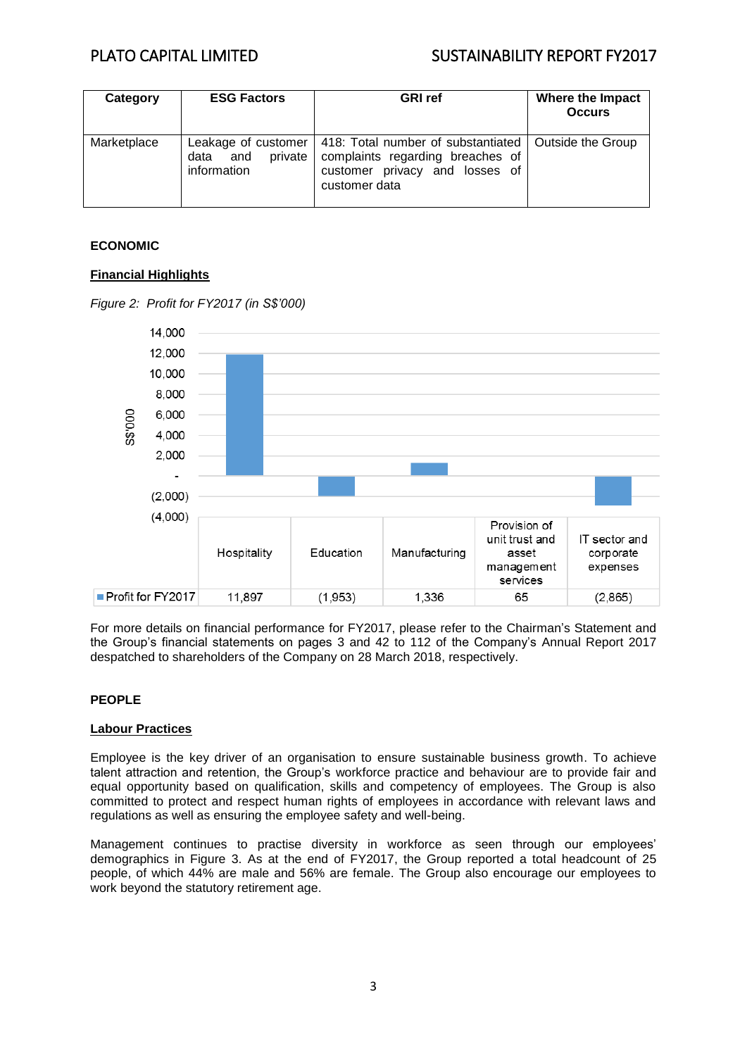# PLATO CAPITAL LIMITED SUSTAINABILITY REPORT FY2017

| Category    | <b>ESG Factors</b>                    | <b>GRI</b> ref                                                                                                                                  | Where the Impact<br><b>Occurs</b> |
|-------------|---------------------------------------|-------------------------------------------------------------------------------------------------------------------------------------------------|-----------------------------------|
| Marketplace | private<br>and<br>data<br>information | Leakage of customer   418: Total number of substantiated<br>complaints regarding breaches of<br>customer privacy and losses of<br>customer data | Outside the Group                 |

# **ECONOMIC**

# **Financial Highlights**



*Figure 2: Profit for FY2017 (in S\$'000)*

For more details on financial performance for FY2017, please refer to the Chairman's Statement and the Group's financial statements on pages 3 and 42 to 112 of the Company's Annual Report 2017 despatched to shareholders of the Company on 28 March 2018, respectively.

#### **PEOPLE**

#### **Labour Practices**

Employee is the key driver of an organisation to ensure sustainable business growth. To achieve talent attraction and retention, the Group's workforce practice and behaviour are to provide fair and equal opportunity based on qualification, skills and competency of employees. The Group is also committed to protect and respect human rights of employees in accordance with relevant laws and regulations as well as ensuring the employee safety and well-being.

Management continues to practise diversity in workforce as seen through our employees' demographics in Figure 3. As at the end of FY2017, the Group reported a total headcount of 25 people, of which 44% are male and 56% are female. The Group also encourage our employees to work beyond the statutory retirement age.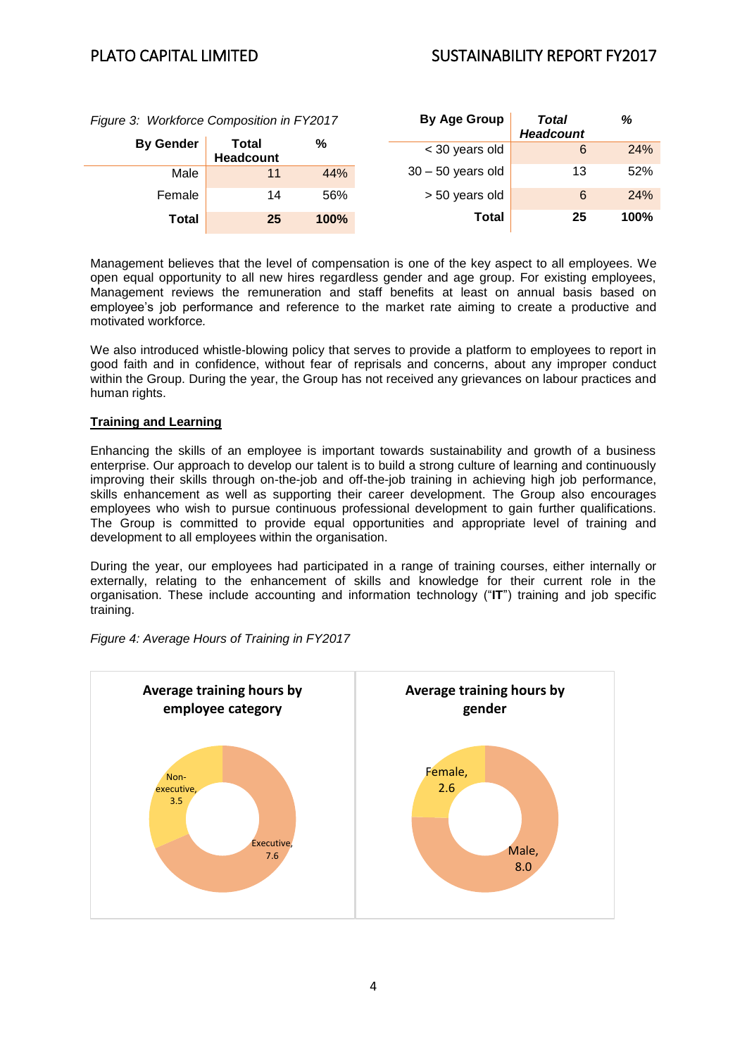| Figure 3: Workforce Composition in FY2017 |                           | By Age Group | <b>Total</b>        | %                |      |
|-------------------------------------------|---------------------------|--------------|---------------------|------------------|------|
|                                           |                           |              |                     | <b>Headcount</b> |      |
| <b>By Gender</b>                          | Total<br><b>Headcount</b> | %            | < 30 years old      | 6                | 24%  |
| Male                                      | 11                        | 44%          | $30 - 50$ years old | 13               | 52%  |
| Female                                    | 14                        | 56%          | > 50 years old      | 6                | 24%  |
| <b>Total</b>                              | 25                        | 100%         | Total               | 25               | 100% |

Management believes that the level of compensation is one of the key aspect to all employees. We open equal opportunity to all new hires regardless gender and age group. For existing employees, Management reviews the remuneration and staff benefits at least on annual basis based on employee's job performance and reference to the market rate aiming to create a productive and motivated workforce*.* 

We also introduced whistle-blowing policy that serves to provide a platform to employees to report in good faith and in confidence, without fear of reprisals and concerns, about any improper conduct within the Group. During the year, the Group has not received any grievances on labour practices and human rights.

# **Training and Learning**

Enhancing the skills of an employee is important towards sustainability and growth of a business enterprise. Our approach to develop our talent is to build a strong culture of learning and continuously improving their skills through on-the-job and off-the-job training in achieving high job performance, skills enhancement as well as supporting their career development. The Group also encourages employees who wish to pursue continuous professional development to gain further qualifications. The Group is committed to provide equal opportunities and appropriate level of training and development to all employees within the organisation.

During the year, our employees had participated in a range of training courses, either internally or externally, relating to the enhancement of skills and knowledge for their current role in the organisation. These include accounting and information technology ("**IT**") training and job specific training.